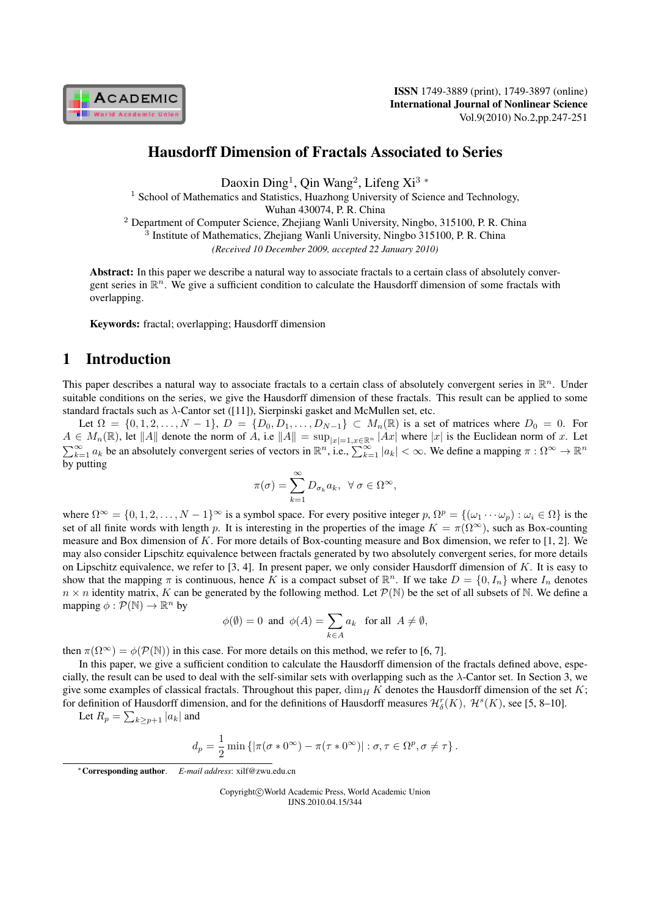

# Hausdorff Dimension of Fractals Associated to Series

Daoxin Ding<sup>1</sup> , Qin Wang<sup>2</sup> , Lifeng Xi<sup>3</sup> *<sup>∗</sup>*

<sup>1</sup> School of Mathematics and Statistics, Huazhong University of Science and Technology,

Wuhan 430074, P. R. China

<sup>2</sup> Department of Computer Science, Zhejiang Wanli University, Ningbo, 315100, P. R. China

<sup>3</sup> Institute of Mathematics, Zhejiang Wanli University, Ningbo 315100, P.R. China

*(Received 10 December 2009, accepted 22 January 2010)*

Abstract: In this paper we describe a natural way to associate fractals to a certain class of absolutely convergent series in  $\mathbb{R}^n$ . We give a sufficient condition to calculate the Hausdorff dimension of some fractals with overlapping.

Keywords: fractal; overlapping; Hausdorff dimension

### 1 Introduction

This paper describes a natural way to associate fractals to a certain class of absolutely convergent series in  $\mathbb{R}^n$ . Under suitable conditions on the series, we give the Hausdorff dimension of these fractals. This result can be applied to some standard fractals such as  $\lambda$ -Cantor set ([11]), Sierpinski gasket and McMullen set, etc.

Let  $\Omega = \{0, 1, 2, ..., N - 1\}$ ,  $D = \{D_0, D_1, ..., D_{N-1}\} \subset M_n(\mathbb{R})$  is a set of matrices where  $D_0 = 0$ . For  $A \in M_n(\mathbb{R})$ , let  $||A||$  denote the norm of A, i.e  $||A|| = \sup_{|x|=1, x \in \mathbb{R}^n} |Ax|$  where  $|x|$  is the Euclidean norm of x. Let  $\sum_{k=1}^{\infty} a_k$  be an absolutely convergent series of vectors in  $\mathbb{R}^n$ , i.e.,  $\sum_{k=1}^{\infty}$ by putting

$$
\pi(\sigma) = \sum_{k=1}^{\infty} D_{\sigma_k} a_k, \ \forall \sigma \in \Omega^{\infty},
$$

where  $\Omega^{\infty} = \{0, 1, 2, \ldots, N - 1\}^{\infty}$  is a symbol space. For every positive integer  $p, \Omega^p = \{(\omega_1 \cdots \omega_p) : \omega_i \in \Omega\}$  is the set of all finite words with length p. It is interesting in the properties of the image  $K = \pi(\Omega^{\infty})$ , such as Box-counting measure and Box dimension of K. For more details of Box-counting measure and Box dimension, we refer to [1, 2]. We may also consider Lipschitz equivalence between fractals generated by two absolutely convergent series, for more details on Lipschitz equivalence, we refer to [3, 4]. In present paper, we only consider Hausdorff dimension of  $K$ . It is easy to show that the mapping  $\pi$  is continuous, hence K is a compact subset of  $\mathbb{R}^n$ . If we take  $D = \{0, I_n\}$  where  $I_n$  denotes  $n \times n$  identity matrix, K can be generated by the following method. Let  $\mathcal{P}(\mathbb{N})$  be the set of all subsets of N. We define a mapping  $\phi : \mathcal{P}(\mathbb{N}) \to \mathbb{R}^n$  by

$$
\phi(\emptyset) = 0 \text{ and } \phi(A) = \sum_{k \in A} a_k \text{ for all } A \neq \emptyset,
$$

then  $\pi(\Omega^{\infty}) = \phi(\mathcal{P}(\mathbb{N}))$  in this case. For more details on this method, we refer to [6, 7].

In this paper, we give a sufficient condition to calculate the Hausdorff dimension of the fractals defined above, especially, the result can be used to deal with the self-similar sets with overlapping such as the  $\lambda$ -Cantor set. In Section 3, we give some examples of classical fractals. Throughout this paper,  $\dim_H K$  denotes the Hausdorff dimension of the set K; for definition of Hausdorff dimension, and for the definitions of Hausdorff measures  $\mathcal{H}_{\delta}^r(K)$ ,  $\mathcal{H}^s(K)$ , see [5, 8–10].

Let 
$$
R_p = \sum_{k \geq p+1} |a_k|
$$
 and

$$
d_p = \frac{1}{2} \min \left\{ \left| \pi(\sigma * 0^{\infty}) - \pi(\tau * 0^{\infty}) \right| : \sigma, \tau \in \Omega^p, \sigma \neq \tau \right\}.
$$

*∗*Corresponding author. *E-mail address*: xilf@zwu.edu.cn

Copyright*⃝*c World Academic Press, World Academic Union IJNS.2010.04.15/344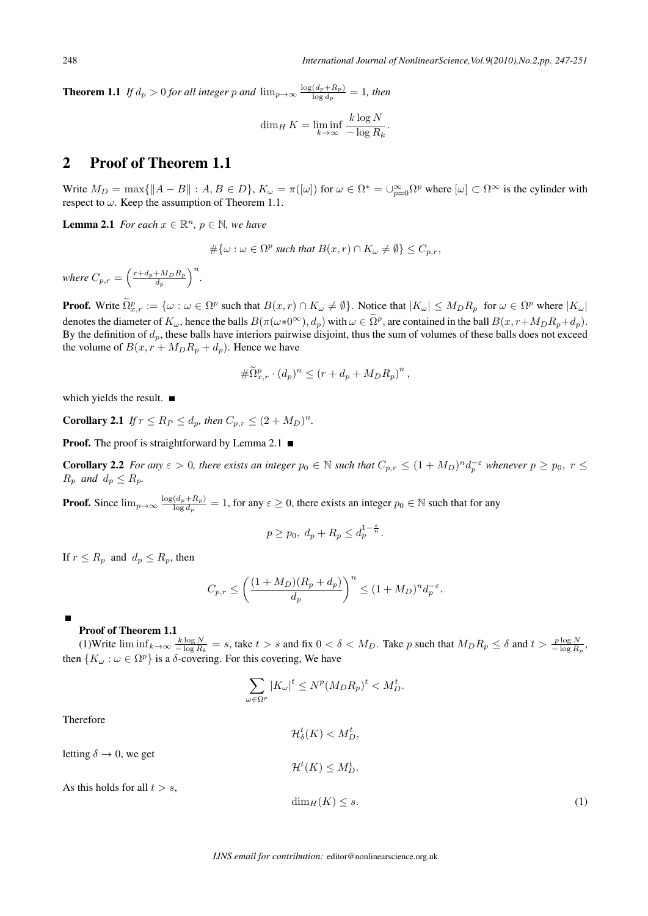**Theorem 1.1** *If*  $d_p > 0$  *for all integer*  $p$  *and*  $\lim_{p\to\infty} \frac{\log(d_p + R_p)}{\log d_p}$  $\frac{(a_p + n_p)}{\log d_p} = 1$ , then

$$
\dim_H K = \liminf_{k \to \infty} \frac{k \log N}{-\log R_k}.
$$

## 2 Proof of Theorem 1.1

Write  $M_D = \max\{\|A - B\| : A, B \in D\}$ ,  $K_\omega = \pi([\omega])$  for  $\omega \in \Omega^* = \cup_{p=0}^\infty \Omega^p$  where  $[\omega] \subset \Omega^\infty$  is the cylinder with respect to  $\omega$ . Keep the assumption of Theorem 1.1.

**Lemma 2.1** *For each*  $x \in \mathbb{R}^n$ *,*  $p \in \mathbb{N}$ *, we have* 

$$
\#\{\omega : \omega \in \Omega^p \text{ such that } B(x,r) \cap K_{\omega} \neq \emptyset\} \leq C_{p,r},
$$

*where*  $C_{p,r} = \left(\frac{r+d_p+M_D R_p}{d_n}\right)$  $d_{p}$  $\big)^n$ .

**Proof.** Write  $\Omega_{x,r}^p := \{ \omega : \omega \in \Omega^p \text{ such that } B(x,r) \cap K_\omega \neq \emptyset \}$ . Notice that  $|K_\omega| \le M_D R_p$  for  $\omega \in \Omega^p$  where  $|K_\omega|$ denotes the diameter of  $K_{\omega}$ , hence the balls  $B(\pi(\omega*0^{\infty}), d_p)$  with  $\omega \in \Omega^p$ , are contained in the ball  $B(x, r+M_D R_p + d_p)$ . By the definition of  $d_p$ , these balls have interiors pairwise disjoint, thus the sum of volumes of these balls does not exceed the volume of  $B(x, r + M_D R_p + d_p)$ . Hence we have

$$
\#\widetilde{\Omega}_{x,r}^p \cdot (d_p)^n \le (r + d_p + M_D R_p)^n,
$$

which yields the result. ■

**Corollary 2.1** *If*  $r \le R_P \le d_p$ , *then*  $C_{p,r} \le (2 + M_D)^n$ .

**Proof.** The proof is straightforward by Lemma 2.1  $\blacksquare$ 

**Corollary 2.2** For any  $\varepsilon > 0$ , there exists an integer  $p_0 \in \mathbb{N}$  such that  $C_{p,r} \leq (1 + M_D)^n d_p^{-\varepsilon}$  whenever  $p \geq p_0, r \leq$  $R_p$  *and*  $d_p \leq R_p$ *.* 

**Proof.** Since  $\lim_{p\to\infty} \frac{\log(d_p+R_p)}{\log d_p}$  $\frac{(a_p + h_p)}{\log d_p} = 1$ , for any  $\varepsilon \ge 0$ , there exists an integer  $p_0 \in \mathbb{N}$  such that for any

$$
p \ge p_0, d_p + R_p \le d_p^{1-\frac{\varepsilon}{n}}.
$$

If  $r \leq R_p$  and  $d_p \leq R_p$ , then

$$
C_{p,r} \le \left(\frac{(1+M_D)(R_p+d_p)}{d_p}\right)^n \le (1+M_D)^n d_p^{-\varepsilon}.
$$

#### Proof of Theorem 1.1

(1)Write  $\liminf_{k\to\infty} \frac{k \log N}{-\log R_k} = s$ , take  $t > s$  and fix  $0 < \delta < M_D$ . Take p such that  $M_D R_p \leq \delta$  and  $t > \frac{p \log N}{-\log R_p}$ , then  ${K_\omega : \omega \in \Omega^p}$  is a  $\delta$ -covering. For this covering, We have  $\{P\}$  is a  $\delta$ -covering. For this covering, We have

$$
\sum_{\omega \in \Omega^p} |K_{\omega}|^t \le N^p (M_D R_p)^t < M_D^t.
$$

 $\mathcal{H}_{\delta}^{t}(K) < M_{D}^{t},$ 

Therefore

letting 
$$
\delta \to 0
$$
, we get

As this holds for all  $t > s$ ,

$$
\mathcal{H}^t(K) \le M_D^t.
$$
  

$$
\dim_H(K) \le s.
$$
 (1)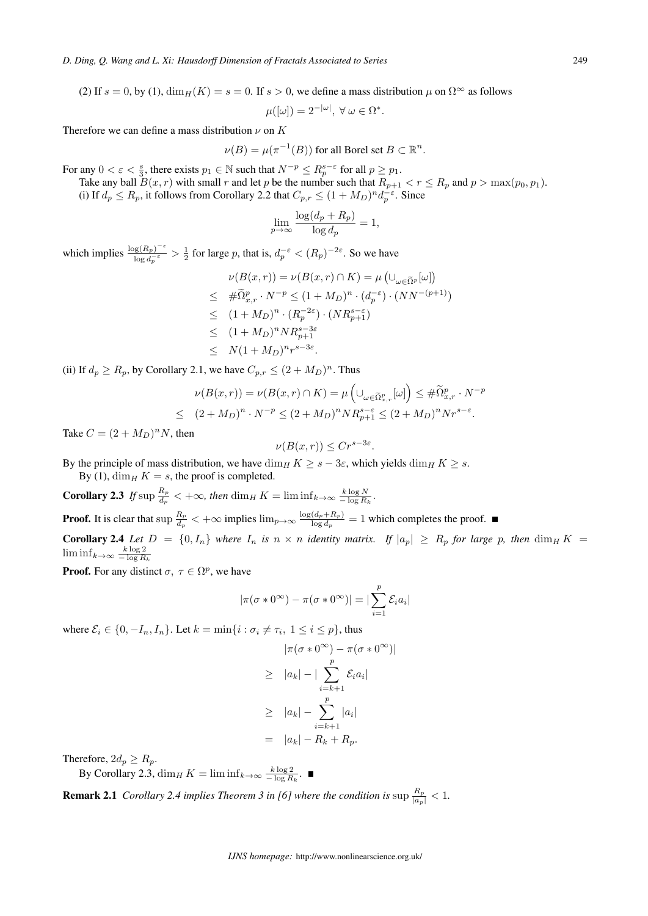(2) If  $s = 0$ , by (1),  $\dim_H(K) = s = 0$ . If  $s > 0$ , we define a mass distribution  $\mu$  on  $\Omega^{\infty}$  as follows

 $\mu([\omega]) = 2^{-|\omega|}, \ \forall \omega \in \Omega^*.$ 

Therefore we can define a mass distribution  $\nu$  on  $K$ 

 $\nu(B) = \mu(\pi^{-1}(B))$  for all Borel set  $B \subset \mathbb{R}^n$ .

For any  $0 < \varepsilon < \frac{s}{3}$ , there exists  $p_1 \in \mathbb{N}$  such that  $N^{-p} \le R_p^{s-\varepsilon}$  for all  $p \ge p_1$ .

Take any ball  $B(x, r)$  with small  $r$  and let  $p$  be the number such that  $R_{p+1} < r \le R_p$  and  $p > \max(p_0, p_1)$ . (i) If  $d_p \leq R_p$ , it follows from Corollary 2.2 that  $C_{p,r} \leq (1 + M_D)^n d_p^{-\epsilon}$ . Since

$$
\lim_{p \to \infty} \frac{\log(d_p + R_p)}{\log d_p} = 1,
$$

which implies  $\frac{\log(R_p)^{-\varepsilon}}{\log d^{-\varepsilon}}$  $\frac{\log(R_p)^{-\epsilon}}{\log d_p^{-\epsilon}} > \frac{1}{2}$  for large p, that is,  $d_p^{-\epsilon} < (R_p)^{-2\epsilon}$ . So we have

$$
\nu(B(x,r)) = \nu(B(x,r) \cap K) = \mu\left(\bigcup_{\omega \in \widetilde{\Omega}^p} [\omega]\right)
$$
  
\n
$$
\leq \# \widetilde{\Omega}^p_{x,r} \cdot N^{-p} \leq (1 + M_D)^n \cdot (d_p^{-\varepsilon}) \cdot (NN^{-(p+1)})
$$
  
\n
$$
\leq (1 + M_D)^n \cdot (R_p^{-2\varepsilon}) \cdot (NR_{p+1}^{s-\varepsilon})
$$
  
\n
$$
\leq (1 + M_D)^n NR_{p+1}^{s-3\varepsilon}
$$
  
\n
$$
\leq N(1 + M_D)^n r^{s-3\varepsilon}.
$$

(ii) If  $d_p \ge R_p$ , by Corollary 2.1, we have  $C_{p,r} \le (2 + M_D)^n$ . Thus

$$
\nu(B(x,r)) = \nu(B(x,r) \cap K) = \mu\left(\cup_{\omega \in \tilde{\Omega}^p_{x,r}}[\omega]\right) \leq \#\tilde{\Omega}^p_{x,r} \cdot N^{-p}
$$
  

$$
\leq (2+M_D)^n \cdot N^{-p} \leq (2+M_D)^n NR_{p+1}^{s-\varepsilon} \leq (2+M_D)^n Nr^{s-\varepsilon}.
$$

Take  $C = (2 + M_D)^n N$ , then

$$
\nu(B(x,r)) \le Cr^{s-3\varepsilon}.
$$

By the principle of mass distribution, we have  $\dim_H K \geq s - 3\varepsilon$ , which yields  $\dim_H K \geq s$ . By (1),  $\dim_H K = s$ , the proof is completed.

**Corollary 2.3** If sup  $\frac{R_p}{d}$  $\frac{R_p}{d_p}$  <  $+\infty$ , then  $\dim_H K = \liminf_{k \to \infty} \frac{k \log N}{-\log R_k}$ .

**Proof.** It is clear that sup  $\frac{R_p}{d}$  $\frac{R_p}{d_p} < +\infty$  implies  $\lim_{p\to\infty} \frac{\log(d_p+R_p)}{\log d_p}$  $\frac{(a_p + n_p)}{\log d_p} = 1$  which completes the proof. **Corollary 2.4** Let  $D = \{0, I_n\}$  where  $I_n$  is  $n \times n$  identity matrix. If  $|a_p| \ge R_p$  for large p, then  $\dim_H K =$  $\liminf_{k\to\infty} \frac{k\log 2}{-\log R_k}$ 

**Proof.** For any distinct  $\sigma$ ,  $\tau \in \Omega^p$ , we have

$$
|\pi(\sigma * 0^{\infty}) - \pi(\sigma * 0^{\infty})| = |\sum_{i=1}^{p} \mathcal{E}_i a_i|
$$

where  $\mathcal{E}_i \in \{0, -I_n, I_n\}$ . Let  $k = \min\{i : \sigma_i \neq \tau_i, 1 \leq i \leq p\}$ , thus

$$
|\pi(\sigma * 0^{\infty}) - \pi(\sigma * 0^{\infty})|
$$
  
\n
$$
\geq |a_k| - |\sum_{i=k+1}^{p} \mathcal{E}_i a_i|
$$
  
\n
$$
\geq |a_k| - \sum_{i=k+1}^{p} |a_i|
$$
  
\n
$$
= |a_k| - R_k + R_p.
$$

Therefore,  $2d_p \geq R_p$ .

By Corollary 2.3,  $\dim_H K = \liminf_{k \to \infty} \frac{k \log 2}{-\log R_k}$ .

**Remark 2.1** *Corollary 2.4 implies Theorem 3 in [6] where the condition is* sup  $\frac{R_p}{|a_p|} < 1$ .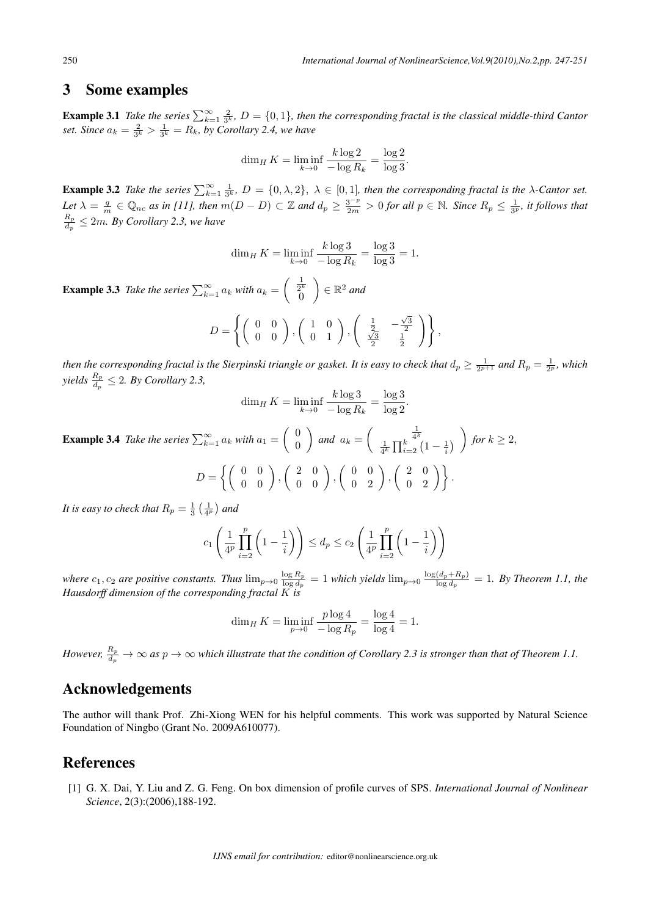### 3 Some examples

**Example 3.1** *Take the series*  $\sum_{k=1}^{\infty} \frac{2}{3^k}$ ,  $D = \{0,1\}$ , then the corresponding fractal is the classical middle-third Cantor set. Since  $a_k = \frac{2}{3^k} > \frac{1}{3^k} = R_k$ , by Corollary 2.4, we have

$$
\dim_H K = \liminf_{k \to 0} \frac{k \log 2}{-\log R_k} = \frac{\log 2}{\log 3}.
$$

**Example 3.2** Take the series  $\sum_{k=1}^{\infty} \frac{1}{3^k}$ ,  $D = \{0, \lambda, 2\}$ ,  $\lambda \in [0, 1]$ , then the corresponding fractal is the  $\lambda$ -Cantor set.  $Let \ \lambda = \frac{q}{m} \in \mathbb{Q}_{nc}$  as in [11], then  $m(D - D) \subset \mathbb{Z}$  and  $d_p \geq \frac{3^{-p}}{2m} > 0$  for all  $p \in \mathbb{N}$ . Since  $R_p \leq \frac{1}{3^p}$ , it follows that  $R_p$  $\frac{R_p}{d_p} \leq 2m$ . By Corollary 2.3, we have

$$
\dim_H K = \liminf_{k \to 0} \frac{k \log 3}{-\log R_k} = \frac{\log 3}{\log 3} = 1.
$$

**Example 3.3** *Take the series*  $\sum_{k=1}^{\infty} a_k$  *with*  $a_k =$  $\left( \begin{array}{c} \frac{1}{2^k} \\ 0 \end{array} \right)$  $\setminus$ *∈* ℝ <sup>2</sup> *and*

$$
D = \left\{ \left( \begin{array}{cc} 0 & 0 \\ 0 & 0 \end{array} \right), \left( \begin{array}{cc} 1 & 0 \\ 0 & 1 \end{array} \right), \left( \begin{array}{cc} \frac{1}{2} & -\frac{\sqrt{3}}{2} \\ \frac{\sqrt{3}}{2} & \frac{1}{2} \end{array} \right) \right\},
$$

then the corresponding fractal is the Sierpinski triangle or gasket. It is easy to check that  $d_p\geq \frac{1}{2^{p+1}}$  and  $R_p=\frac{1}{2^p}$ , which  $yields \frac{R_p}{d_p} \leq 2.$  *By Corollary 2.3,* 

$$
\dim_H K = \liminf_{k \to 0} \frac{k \log 3}{-\log R_k} = \frac{\log 3}{\log 2}.
$$

**Example 3.4** *Take the series*  $\sum_{k=1}^{\infty} a_k$  *with*  $a_1 =$ ( 0 0  $\setminus$ *and*  $a_k =$  $\left( \begin{array}{c} \frac{1}{4^k} \\ \frac{1}{4^k} \prod_{i=2}^k \left( 1 - \frac{1}{i} \right) \end{array} \right)$  $\setminus$ *for*  $k \geq 2$ *,*  $D = \left\{ \left( \begin{array}{cc} 0 & 0 \\ 0 & 0 \end{array} \right), \right.$  $\left(\begin{array}{cc} 2 & 0 \\ 0 & 0 \end{array}\right)$  $\left(\begin{array}{cc} 0 & 0 \\ 0 & 2 \end{array}\right)$  $\left(\begin{array}{cc} 2 & 0 \\ 0 & 2 \end{array}\right)$ .

*It is easy to check that*  $R_p = \frac{1}{3} \left( \frac{1}{4^p} \right)$  and

$$
c_1\left(\frac{1}{4^p}\prod_{i=2}^p\left(1-\frac{1}{i}\right)\right)\leq d_p\leq c_2\left(\frac{1}{4^p}\prod_{i=2}^p\left(1-\frac{1}{i}\right)\right)
$$

*where*  $c_1$ ,  $c_2$  *are positive constants. Thus*  $\lim_{p\to 0} \frac{\log R_p}{\log d_p}$  $\frac{\log R_p}{\log d_p} = 1$  which yields  $\lim_{p\to 0} \frac{\log (d_p+R_p)}{\log d_p}$  $\frac{(a_p + h_p)}{\log d_p} = 1$ . By Theorem 1.1, the *Hausdorff dimension of the corresponding fractal is*

$$
\dim_H K = \liminf_{p \to 0} \frac{p \log 4}{-\log R_p} = \frac{\log 4}{\log 4} = 1.
$$

However,  $\frac{R_p}{d_p}\to\infty$  as  $p\to\infty$  which illustrate that the condition of Corollary 2.3 is stronger than that of Theorem 1.1.

## Acknowledgements

The author will thank Prof. Zhi-Xiong WEN for his helpful comments. This work was supported by Natural Science Foundation of Ningbo (Grant No. 2009A610077).

## References

[1] G. X. Dai, Y. Liu and Z. G. Feng. On box dimension of profile curves of SPS. *International Journal of Nonlinear Science*, 2(3):(2006),188-192.